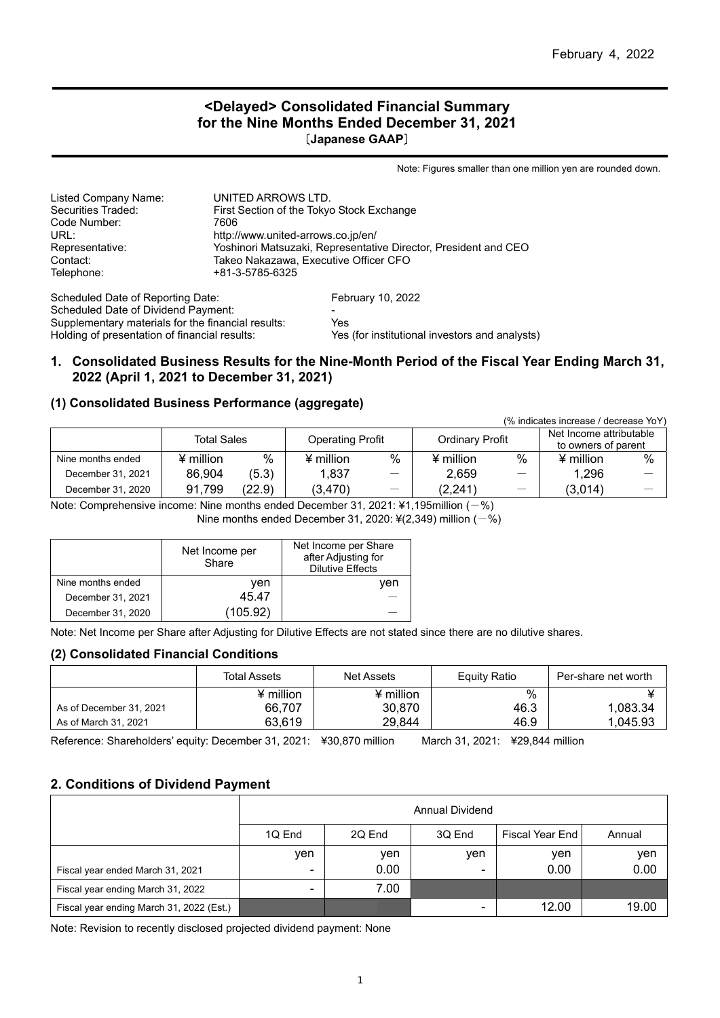#### **<Delayed> Consolidated Financial Summary for the Nine Months Ended December 31, 2021** 〔**Japanese GAAP**〕

Note: Figures smaller than one million yen are rounded down.

| Listed Company Name:                               | UNITED ARROWS LTD.                                              |                                       |  |  |
|----------------------------------------------------|-----------------------------------------------------------------|---------------------------------------|--|--|
| Securities Traded:                                 | First Section of the Tokyo Stock Exchange                       |                                       |  |  |
| Code Number:                                       | 7606                                                            |                                       |  |  |
| URL:                                               | http://www.united-arrows.co.jp/en/                              |                                       |  |  |
| Representative:                                    | Yoshinori Matsuzaki, Representative Director, President and CEO |                                       |  |  |
| Contact:                                           |                                                                 | Takeo Nakazawa, Executive Officer CFO |  |  |
| Telephone:                                         | +81-3-5785-6325                                                 |                                       |  |  |
| Scheduled Date of Reporting Date:                  |                                                                 | <b>February 10, 2022</b>              |  |  |
| Scheduled Date of Dividend Payment:                |                                                                 |                                       |  |  |
| Supplementary materials for the financial results: |                                                                 | Yes                                   |  |  |

Holding of presentation of financial results: Yes (for institutional investors and analysts)

#### **1. Consolidated Business Results for the Nine-Month Period of the Fiscal Year Ending March 31, 2022 (April 1, 2021 to December 31, 2021)**

#### **(1) Consolidated Business Performance (aggregate)**

| (% indicates increase / decrease YoY) |                    |        |                  |                                                   |                  |                     |                         |   |
|---------------------------------------|--------------------|--------|------------------|---------------------------------------------------|------------------|---------------------|-------------------------|---|
|                                       | <b>Total Sales</b> |        |                  |                                                   |                  |                     | Net Income attributable |   |
|                                       |                    |        |                  | <b>Ordinary Profit</b><br><b>Operating Profit</b> |                  | to owners of parent |                         |   |
| Nine months ended                     | $4$ million        | %      | $\angle$ million | %                                                 | $\angle$ million | %                   | $\angle$ million        | % |
| December 31, 2021                     | 86.904             | (5.3)  | 1.837            | $\overline{\phantom{m}}$                          | 2.659            |                     | 1.296                   |   |
| December 31, 2020                     | 91,799             | (22.9) | (3, 470)         | $\hspace{0.1mm}-\hspace{0.1mm}$                   | (2,241)          |                     | (3,014)                 |   |

Note: Comprehensive income: Nine months ended December 31, 2021: ¥1,195million  $(-\%)$ 

Nine months ended December 31, 2020:  $4(2,349)$  million (-%)

|                   | Net Income per<br>Share | Net Income per Share<br>after Adjusting for<br><b>Dilutive Effects</b> |
|-------------------|-------------------------|------------------------------------------------------------------------|
| Nine months ended | ven                     | ven                                                                    |
| December 31, 2021 | 45.47                   |                                                                        |
| December 31, 2020 | (105.92)                |                                                                        |

Note: Net Income per Share after Adjusting for Dilutive Effects are not stated since there are no dilutive shares.

#### **(2) Consolidated Financial Conditions**

|                         | Total Assets | Net Assets            | Equity Ratio | Per-share net worth |
|-------------------------|--------------|-----------------------|--------------|---------------------|
|                         | $4$ million  | $\frac{4}{3}$ million | %            |                     |
| As of December 31, 2021 | 66.707       | 30,870                | 46.3         | 1.083.34            |
| As of March 31, 2021    | 63,619       | 29,844                | 46.9         | 1.045.93            |

Reference: Shareholders' equity: December 31, 2021: ¥30,870 million March 31, 2021: ¥29,844 million

### **2. Conditions of Dividend Payment**

|                                          | <b>Annual Dividend</b>   |                                               |                |       |       |  |  |  |
|------------------------------------------|--------------------------|-----------------------------------------------|----------------|-------|-------|--|--|--|
|                                          | 1Q End                   | 2Q End<br>3Q End<br>Fiscal Year End<br>Annual |                |       |       |  |  |  |
|                                          | ven                      | ven                                           | ven            | ven   | yen   |  |  |  |
| Fiscal year ended March 31, 2021         | $\overline{\phantom{0}}$ | 0.00                                          | $\,$           | 0.00  | 0.00  |  |  |  |
| Fiscal year ending March 31, 2022        | $\overline{\phantom{0}}$ | 7.00                                          |                |       |       |  |  |  |
| Fiscal year ending March 31, 2022 (Est.) |                          |                                               | $\blacksquare$ | 12.00 | 19.00 |  |  |  |

Note: Revision to recently disclosed projected dividend payment: None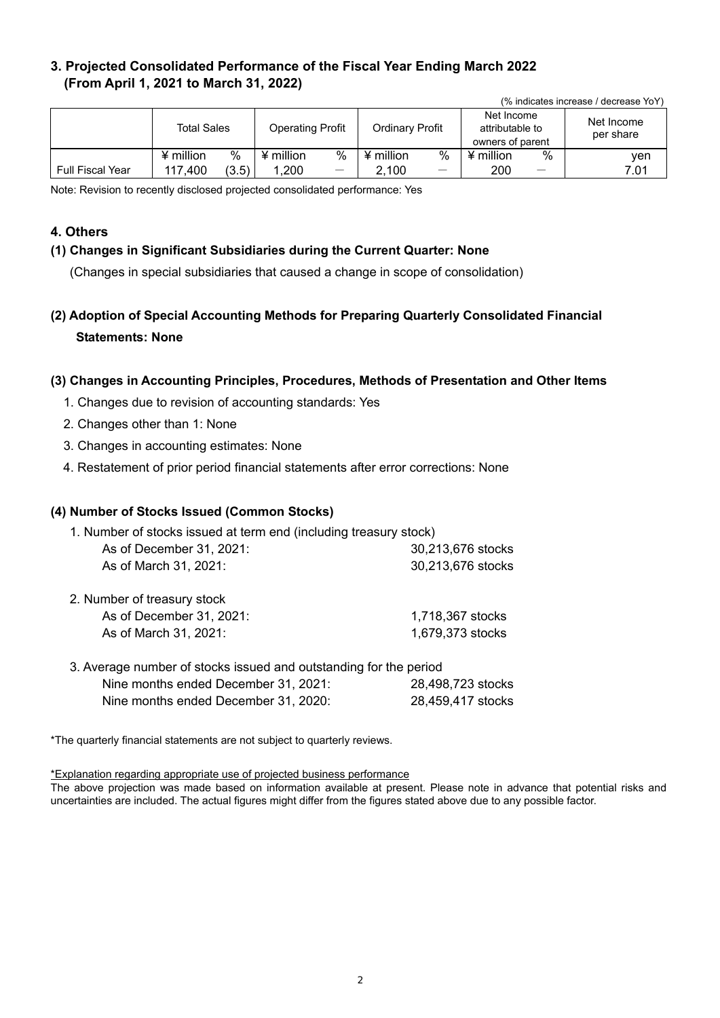## **3. Projected Consolidated Performance of the Fiscal Year Ending March 2022 (From April 1, 2021 to March 31, 2022)**

| (% indicates increase / decrease YoY) |                    |       |                         |                                 |                 |                   |                                                   |                   |                         |
|---------------------------------------|--------------------|-------|-------------------------|---------------------------------|-----------------|-------------------|---------------------------------------------------|-------------------|-------------------------|
|                                       | <b>Total Sales</b> |       | <b>Operating Profit</b> |                                 | Ordinary Profit |                   | Net Income<br>attributable to<br>owners of parent |                   | Net Income<br>per share |
|                                       | $\angle$ million   | %     | ¥ million               | %                               | ¥ million       | %                 | $\angle$ million                                  | %                 | ven                     |
| <b>Full Fiscal Year</b>               | 117.400            | (3.5) | 1.200                   | $\hspace{0.1mm}-\hspace{0.1mm}$ | 2.100           | $\hspace{0.05cm}$ | 200                                               | $\hspace{0.05cm}$ | 7.01                    |

Note: Revision to recently disclosed projected consolidated performance: Yes

### **4. Others**

### **(1) Changes in Significant Subsidiaries during the Current Quarter: None**

(Changes in special subsidiaries that caused a change in scope of consolidation)

**(2) Adoption of Special Accounting Methods for Preparing Quarterly Consolidated Financial Statements: None** 

#### **(3) Changes in Accounting Principles, Procedures, Methods of Presentation and Other Items**

- 1. Changes due to revision of accounting standards: Yes
- 2. Changes other than 1: None
- 3. Changes in accounting estimates: None
- 4. Restatement of prior period financial statements after error corrections: None

#### **(4) Number of Stocks Issued (Common Stocks)**

| 1. Number of stocks issued at term end (including treasury stock) |                   |  |  |  |  |
|-------------------------------------------------------------------|-------------------|--|--|--|--|
| As of December 31, 2021:                                          | 30.213.676 stocks |  |  |  |  |
| As of March 31, 2021:                                             | 30,213,676 stocks |  |  |  |  |

| 2. Number of treasury stock |                  |
|-----------------------------|------------------|
| As of December 31, 2021:    | 1.718.367 stocks |
| As of March 31, 2021:       | 1,679,373 stocks |
|                             |                  |

| 3. Average number of stocks issued and outstanding for the period |                   |
|-------------------------------------------------------------------|-------------------|
| Nine months ended December 31, 2021:                              | 28,498,723 stocks |
| Nine months ended December 31, 2020:                              | 28,459,417 stocks |

\*The quarterly financial statements are not subject to quarterly reviews.

\*Explanation regarding appropriate use of projected business performance

The above projection was made based on information available at present. Please note in advance that potential risks and uncertainties are included. The actual figures might differ from the figures stated above due to any possible factor.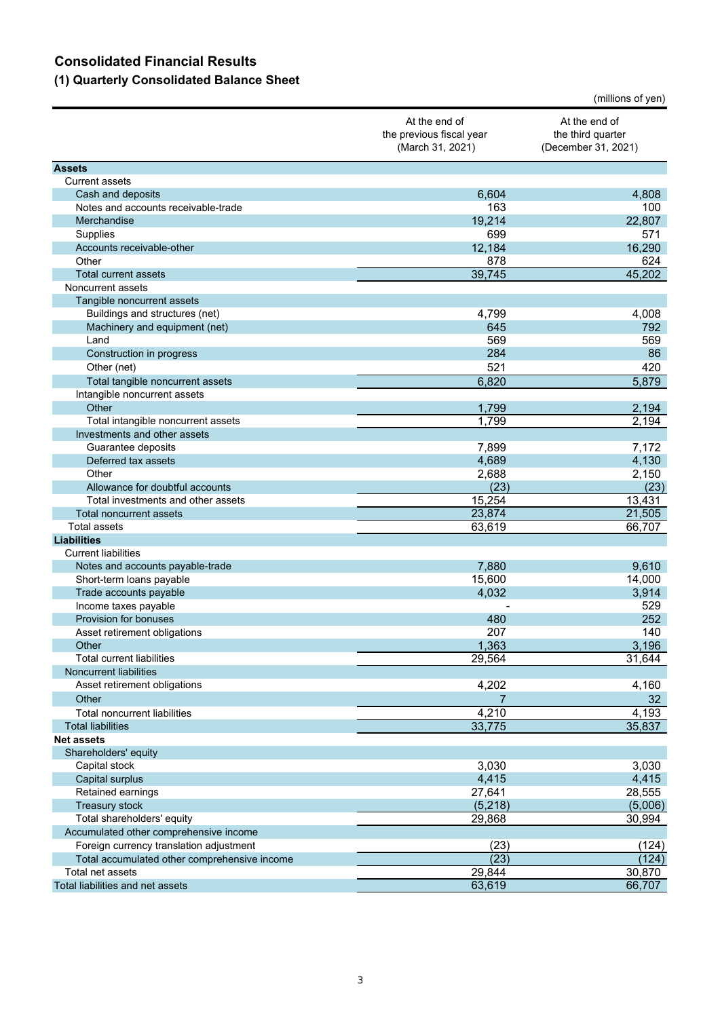## **Consolidated Financial Results**

# **(1) Quarterly Consolidated Balance Sheet**

|                                                              |                                                               | (millions of yen)                                         |
|--------------------------------------------------------------|---------------------------------------------------------------|-----------------------------------------------------------|
|                                                              | At the end of<br>the previous fiscal year<br>(March 31, 2021) | At the end of<br>the third quarter<br>(December 31, 2021) |
| <b>Assets</b>                                                |                                                               |                                                           |
| <b>Current assets</b>                                        |                                                               |                                                           |
| Cash and deposits                                            | 6,604                                                         | 4,808                                                     |
| Notes and accounts receivable-trade                          | 163                                                           | 100                                                       |
| Merchandise                                                  | 19,214                                                        | 22,807                                                    |
| Supplies                                                     | 699                                                           | 571                                                       |
| Accounts receivable-other                                    | 12,184                                                        | 16,290                                                    |
| Other                                                        | 878                                                           | 624                                                       |
| <b>Total current assets</b>                                  | 39,745                                                        | 45,202                                                    |
| Noncurrent assets                                            |                                                               |                                                           |
| Tangible noncurrent assets<br>Buildings and structures (net) | 4,799                                                         | 4,008                                                     |
| Machinery and equipment (net)                                | 645                                                           | 792                                                       |
| Land                                                         | 569                                                           | 569                                                       |
| Construction in progress                                     | 284                                                           | 86                                                        |
| Other (net)                                                  | 521                                                           | 420                                                       |
| Total tangible noncurrent assets                             | 6,820                                                         | 5,879                                                     |
| Intangible noncurrent assets                                 |                                                               |                                                           |
| Other                                                        | 1,799                                                         | 2,194                                                     |
| Total intangible noncurrent assets                           | 1,799                                                         | 2,194                                                     |
| Investments and other assets                                 |                                                               |                                                           |
| Guarantee deposits                                           | 7,899                                                         | 7,172                                                     |
| Deferred tax assets                                          | 4,689                                                         | 4,130                                                     |
| Other                                                        | 2,688                                                         | 2,150                                                     |
| Allowance for doubtful accounts                              | (23)                                                          | (23)                                                      |
| Total investments and other assets                           | 15,254                                                        | 13,431                                                    |
| <b>Total noncurrent assets</b>                               | 23,874                                                        | 21,505                                                    |
| <b>Total assets</b>                                          | 63,619                                                        | 66,707                                                    |
| <b>Liabilities</b>                                           |                                                               |                                                           |
| <b>Current liabilities</b>                                   |                                                               |                                                           |
| Notes and accounts payable-trade                             | 7,880                                                         | 9,610                                                     |
| Short-term loans payable                                     | 15,600                                                        | 14,000                                                    |
| Trade accounts payable                                       | 4,032                                                         | 3,914                                                     |
| Income taxes payable                                         |                                                               | 529                                                       |
| Provision for bonuses                                        | 480                                                           | 252                                                       |
| Asset retirement obligations<br>Other                        | 207                                                           | 140<br>3,196                                              |
| <b>Total current liabilities</b>                             | 1,363<br>29,564                                               | 31,644                                                    |
| <b>Noncurrent liabilities</b>                                |                                                               |                                                           |
| Asset retirement obligations                                 | 4,202                                                         | 4,160                                                     |
| Other                                                        | 7                                                             | 32 <sub>2</sub>                                           |
| Total noncurrent liabilities                                 | 4,210                                                         | 4,193                                                     |
| <b>Total liabilities</b>                                     | 33,775                                                        | 35,837                                                    |
| <b>Net assets</b>                                            |                                                               |                                                           |
| Shareholders' equity                                         |                                                               |                                                           |
| Capital stock                                                | 3,030                                                         | 3,030                                                     |
| Capital surplus                                              | 4,415                                                         | 4,415                                                     |
| Retained earnings                                            | 27,641                                                        | 28,555                                                    |
| Treasury stock                                               | (5, 218)                                                      | (5,006)                                                   |
| Total shareholders' equity                                   | 29,868                                                        | 30,994                                                    |
| Accumulated other comprehensive income                       |                                                               |                                                           |
| Foreign currency translation adjustment                      | (23)                                                          | (124)                                                     |
| Total accumulated other comprehensive income                 | (23)                                                          | (124)                                                     |
| Total net assets                                             | 29,844                                                        | 30,870                                                    |
| Total liabilities and net assets                             | 63,619                                                        | 66,707                                                    |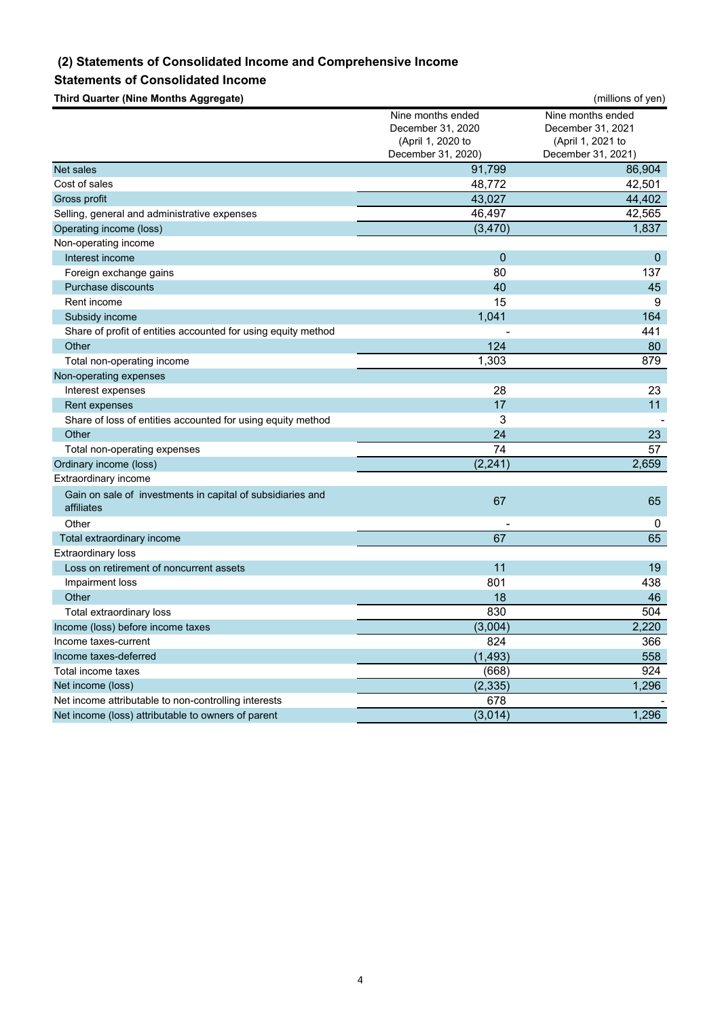### **(2) Statements of Consolidated Income and Comprehensive Income**

#### **Statements of Consolidated Income**

**Third Quarter (Nine Months Aggregate)** (millions of yen)

|                                                                          | Nine months ended  | Nine months ended  |
|--------------------------------------------------------------------------|--------------------|--------------------|
|                                                                          | December 31, 2020  | December 31, 2021  |
|                                                                          | (April 1, 2020 to  | (April 1, 2021 to  |
|                                                                          | December 31, 2020) | December 31, 2021) |
| <b>Net sales</b>                                                         | 91,799             | 86,904             |
| Cost of sales                                                            | 48,772             | 42,501             |
| Gross profit                                                             | 43,027             | 44,402             |
| Selling, general and administrative expenses                             | 46,497             | 42,565             |
| Operating income (loss)                                                  | (3, 470)           | 1,837              |
| Non-operating income                                                     |                    |                    |
| Interest income                                                          | $\mathbf 0$        | $\mathbf 0$        |
| Foreign exchange gains                                                   | 80                 | 137                |
| <b>Purchase discounts</b>                                                | 40                 | 45                 |
| Rent income                                                              | 15                 | 9                  |
| Subsidy income                                                           | 1,041              | 164                |
| Share of profit of entities accounted for using equity method            |                    | 441                |
| Other                                                                    | 124                | 80                 |
| Total non-operating income                                               | 1,303              | 879                |
| Non-operating expenses                                                   |                    |                    |
| Interest expenses                                                        | 28                 | 23                 |
| Rent expenses                                                            | 17                 | 11                 |
| Share of loss of entities accounted for using equity method              | 3                  |                    |
| Other                                                                    | 24                 | 23                 |
| Total non-operating expenses                                             | 74                 | 57                 |
| Ordinary income (loss)                                                   | (2, 241)           | 2,659              |
| Extraordinary income                                                     |                    |                    |
| Gain on sale of investments in capital of subsidiaries and<br>affiliates | 67                 | 65                 |
| Other                                                                    |                    | 0                  |
| Total extraordinary income                                               | 67                 | 65                 |
| <b>Extraordinary loss</b>                                                |                    |                    |
| Loss on retirement of noncurrent assets                                  | 11                 | 19                 |
| Impairment loss                                                          | 801                | 438                |
| Other                                                                    | 18                 | 46                 |
| Total extraordinary loss                                                 | 830                | 504                |
| Income (loss) before income taxes                                        | (3,004)            | 2,220              |
| Income taxes-current                                                     | 824                | 366                |
| Income taxes-deferred                                                    | (1, 493)           | 558                |
| Total income taxes                                                       | (668)              | 924                |
| Net income (loss)                                                        | (2, 335)           | 1,296              |
| Net income attributable to non-controlling interests                     | 678                |                    |
| Net income (loss) attributable to owners of parent                       | (3,014)            | 1,296              |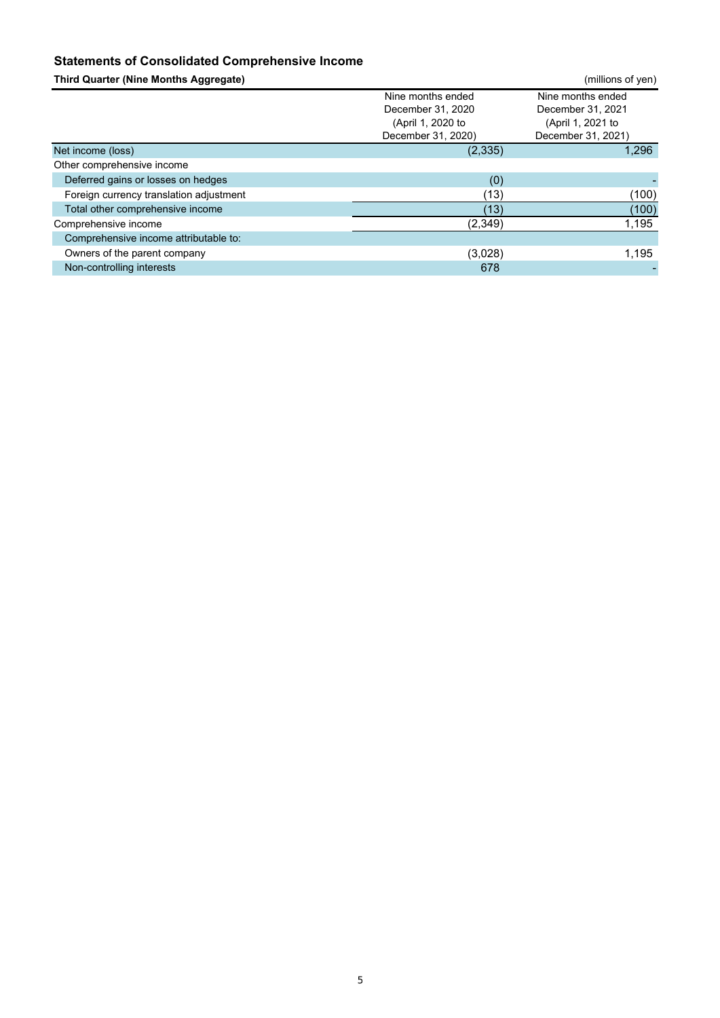## **Statements of Consolidated Comprehensive Income**

| <b>Third Quarter (Nine Months Aggregate)</b> |                                                                                   | (millions of yen)                                                                 |
|----------------------------------------------|-----------------------------------------------------------------------------------|-----------------------------------------------------------------------------------|
|                                              | Nine months ended<br>December 31, 2020<br>(April 1, 2020 to<br>December 31, 2020) | Nine months ended<br>December 31, 2021<br>(April 1, 2021 to<br>December 31, 2021) |
| Net income (loss)                            | (2, 335)                                                                          | 1,296                                                                             |
| Other comprehensive income                   |                                                                                   |                                                                                   |
| Deferred gains or losses on hedges           | (0)                                                                               |                                                                                   |
| Foreign currency translation adjustment      | (13)                                                                              | (100)                                                                             |
| Total other comprehensive income             | (13)                                                                              | (100)                                                                             |
| Comprehensive income                         | (2,349)                                                                           | 1,195                                                                             |
| Comprehensive income attributable to:        |                                                                                   |                                                                                   |
| Owners of the parent company                 | (3,028)                                                                           | 1.195                                                                             |
| Non-controlling interests                    | 678                                                                               |                                                                                   |